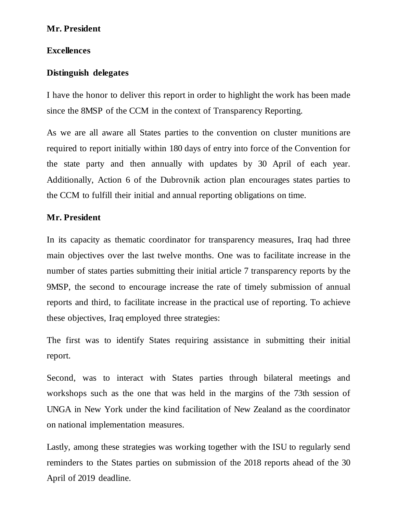# **Mr. President**

### **Excellences**

# **Distinguish delegates**

I have the honor to deliver this report in order to highlight the work has been made since the 8MSP of the CCM in the context of Transparency Reporting.

As we are all aware all States parties to the convention on cluster munitions are required to report initially within 180 days of entry into force of the Convention for the state party and then annually with updates by 30 April of each year. Additionally, Action 6 of the Dubrovnik action plan encourages states parties to the CCM to fulfill their initial and annual reporting obligations on time.

### **Mr. President**

In its capacity as thematic coordinator for transparency measures, Iraq had three main objectives over the last twelve months. One was to facilitate increase in the number of states parties submitting their initial article 7 transparency reports by the 9MSP, the second to encourage increase the rate of timely submission of annual reports and third, to facilitate increase in the practical use of reporting. To achieve these objectives, Iraq employed three strategies:

The first was to identify States requiring assistance in submitting their initial report.

Second, was to interact with States parties through bilateral meetings and workshops such as the one that was held in the margins of the 73th session of UNGA in New York under the kind facilitation of New Zealand as the coordinator on national implementation measures.

Lastly, among these strategies was working together with the ISU to regularly send reminders to the States parties on submission of the 2018 reports ahead of the 30 April of 2019 deadline.